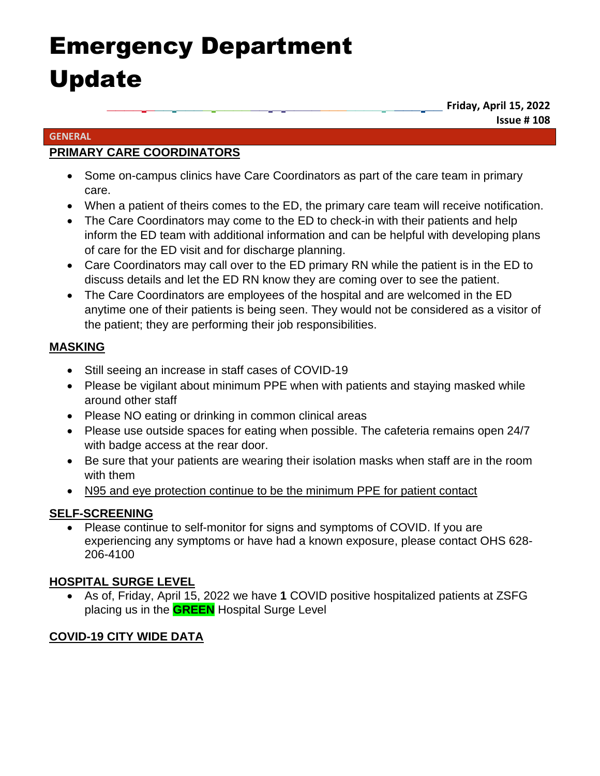# Emergency Department Update

**\_\_\_\_ \_\_\_ \_\_\_\_ \_\_\_\_\_\_ \_ \_\_\_\_\_\_\_\_\_\_\_ \_\_\_\_ \_\_ Friday, April 15, 2022 Issue # 108**

#### **GENERAL**

## **PRIMARY CARE COORDINATORS**

- Some on-campus clinics have Care Coordinators as part of the care team in primary care.
- When a patient of theirs comes to the ED, the primary care team will receive notification.
- The Care Coordinators may come to the ED to check-in with their patients and help inform the ED team with additional information and can be helpful with developing plans of care for the ED visit and for discharge planning.
- Care Coordinators may call over to the ED primary RN while the patient is in the ED to discuss details and let the ED RN know they are coming over to see the patient.
- The Care Coordinators are employees of the hospital and are welcomed in the ED anytime one of their patients is being seen. They would not be considered as a visitor of the patient; they are performing their job responsibilities.

## **MASKING**

- Still seeing an increase in staff cases of COVID-19
- Please be vigilant about minimum PPE when with patients and staying masked while around other staff
- Please NO eating or drinking in common clinical areas
- Please use outside spaces for eating when possible. The cafeteria remains open 24/7 with badge access at the rear door.
- Be sure that your patients are wearing their isolation masks when staff are in the room with them
- N95 and eye protection continue to be the minimum PPE for patient contact

## **SELF-SCREENING**

• Please continue to self-monitor for signs and symptoms of COVID. If you are experiencing any symptoms or have had a known exposure, please contact OHS 628- 206-4100

## **HOSPITAL SURGE LEVEL**

• As of, Friday, April 15, 2022 we have **1** COVID positive hospitalized patients at ZSFG placing us in the **GREEN** Hospital Surge Level

## **COVID-19 CITY WIDE DATA**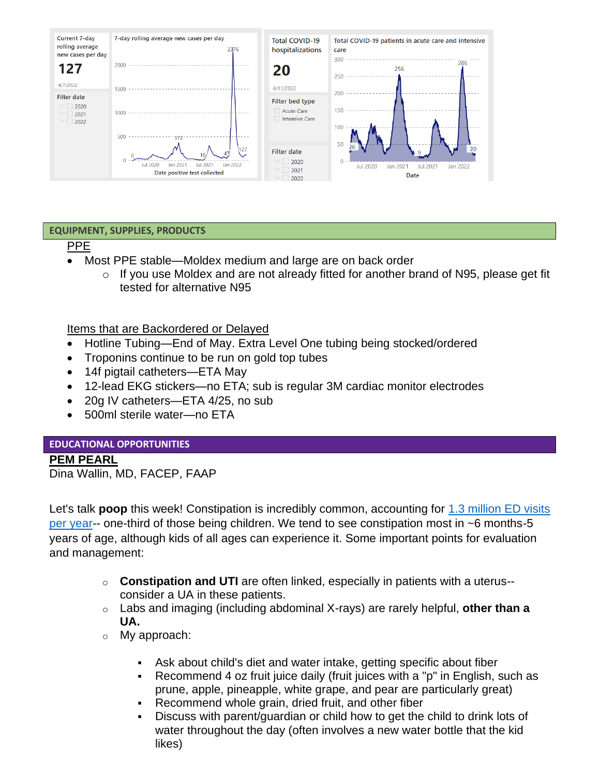![](_page_1_Figure_0.jpeg)

#### **EQUIPMENT, SUPPLIES, PRODUCTS**

#### PPE

- Most PPE stable—Moldex medium and large are on back order
	- $\circ$  If you use Moldex and are not already fitted for another brand of N95, please get fit tested for alternative N95

Items that are Backordered or Delayed

- Hotline Tubing—End of May. Extra Level One tubing being stocked/ordered
- Troponins continue to be run on gold top tubes
- 14f pigtail catheters—ETA May
- 12-lead EKG stickers—no ETA; sub is regular 3M cardiac monitor electrodes
- 20g IV catheters—ETA 4/25, no sub
- 500ml sterile water—no ETA

#### **EDUCATIONAL OPPORTUNITIES**

#### **PEM PEARL**

Dina Wallin, MD, FACEP, FAAP

Let's talk **poop** this week! Constipation is incredibly common, accounting for [1.3 million ED visits](https://pubmed.ncbi.nlm.nih.gov/35151017/)  [per year-](https://pubmed.ncbi.nlm.nih.gov/35151017/)- one-third of those being children. We tend to see constipation most in ~6 months-5 years of age, although kids of all ages can experience it. Some important points for evaluation and management:

- o **Constipation and UTI** are often linked, especially in patients with a uterus- consider a UA in these patients.
- o Labs and imaging (including abdominal X-rays) are rarely helpful, **other than a UA.**
- o My approach:
	- **EXEL Ask about child's diet and water intake, getting specific about fiber**
	- Recommend 4 oz fruit juice daily (fruit juices with a "p" in English, such as prune, apple, pineapple, white grape, and pear are particularly great)
	- **•** Recommend whole grain, dried fruit, and other fiber
	- Discuss with parent/guardian or child how to get the child to drink lots of water throughout the day (often involves a new water bottle that the kid likes)